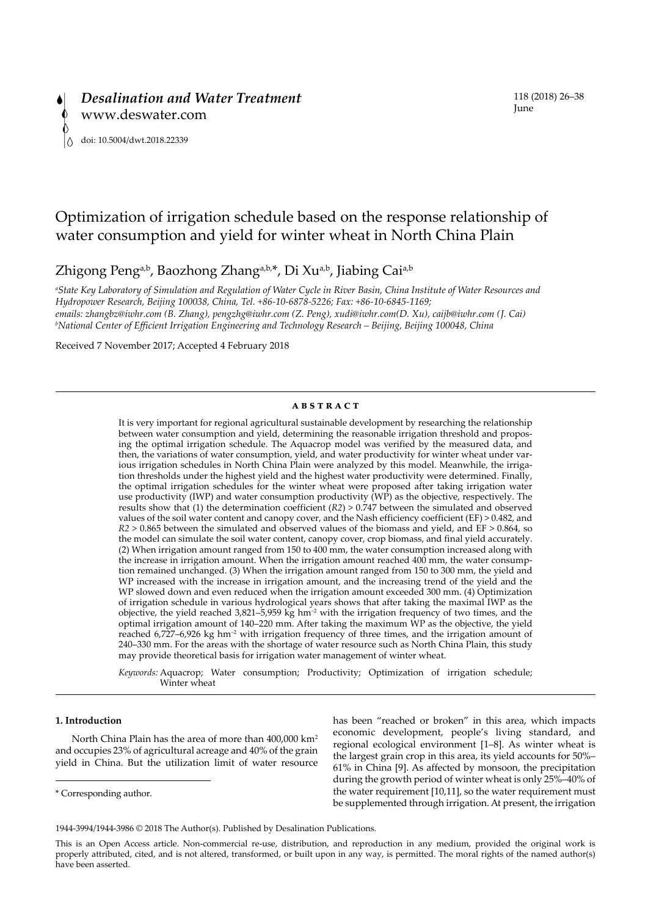# Optimization of irrigation schedule based on the response relationship of water consumption and yield for winter wheat in North China Plain

Zhigong Peng<sup>a,b</sup>, Baozhong Zhang<sup>a,b,\*</sup>, Di Xu<sup>a,b</sup>, Jiabing Cai<sup>a,b</sup>

*a State Key Laboratory of Simulation and Regulation of Water Cycle in River Basin, China Institute of Water Resources and Hydropower Research, Beijing 100038, China, Tel. +86-10-6878-5226; Fax: +86-10-6845-1169; emails: zhangbz@iwhr.com (B. Zhang), pengzhg@iwhr.com (Z. Peng), xudi@iwhr.com(D. Xu), caijb@iwhr.com (J. Cai) b National Center of Efficient Irrigation Engineering and Technology Research – Beijing, Beijing 100048, China*

Received 7 November 2017; Accepted 4 February 2018

## **ABSTRACT**

It is very important for regional agricultural sustainable development by researching the relationship between water consumption and yield, determining the reasonable irrigation threshold and proposing the optimal irrigation schedule. The Aquacrop model was verified by the measured data, and then, the variations of water consumption, yield, and water productivity for winter wheat under various irrigation schedules in North China Plain were analyzed by this model. Meanwhile, the irrigation thresholds under the highest yield and the highest water productivity were determined. Finally, the optimal irrigation schedules for the winter wheat were proposed after taking irrigation water use productivity (IWP) and water consumption productivity (WP) as the objective, respectively. The results show that (1) the determination coefficient (*R2*) > 0.747 between the simulated and observed values of the soil water content and canopy cover, and the Nash efficiency coefficient (EF) > 0.482, and *R2* > 0.865 between the simulated and observed values of the biomass and yield, and EF > 0.864, so the model can simulate the soil water content, canopy cover, crop biomass, and final yield accurately. (2) When irrigation amount ranged from 150 to 400 mm, the water consumption increased along with the increase in irrigation amount. When the irrigation amount reached 400 mm, the water consumption remained unchanged. (3) When the irrigation amount ranged from 150 to 300 mm, the yield and WP increased with the increase in irrigation amount, and the increasing trend of the yield and the WP slowed down and even reduced when the irrigation amount exceeded 300 mm. (4) Optimization of irrigation schedule in various hydrological years shows that after taking the maximal IWP as the objective, the yield reached  $3,821-5,959$  kg hm<sup>-2</sup> with the irrigation frequency of two times, and the optimal irrigation amount of 140–220 mm. After taking the maximum  $\hat{W}P$  as the objective, the yield reached 6,727–6,926 kg hm<sup>-2</sup> with irrigation frequency of three times, and the irrigation amount of 240–330 mm. For the areas with the shortage of water resource such as North China Plain, this study may provide theoretical basis for irrigation water management of winter wheat.

*Keywords:* Aquacrop; Water consumption; Productivity; Optimization of irrigation schedule; Winter wheat

## **1. Introduction**

North China Plain has the area of more than 400,000 km2 and occupies 23% of agricultural acreage and 40% of the grain yield in China. But the utilization limit of water resource has been "reached or broken" in this area, which impacts economic development, people's living standard, and regional ecological environment [1–8]. As winter wheat is the largest grain crop in this area, its yield accounts for 50%– 61% in China [9]. As affected by monsoon, the precipitation during the growth period of winter wheat is only 25%–40% of the water requirement [10,11], so the water requirement must be supplemented through irrigation. At present, the irrigation

<sup>\*</sup> Corresponding author.

<sup>1944-3994/1944-3986 ©</sup> 2018 The Author(s). Published by Desalination Publications.

This is an Open Access article. Non-commercial re-use, distribution, and reproduction in any medium, provided the original work is properly attributed, cited, and is not altered, transformed, or built upon in any way, is permitted. The moral rights of the named author(s) have been asserted.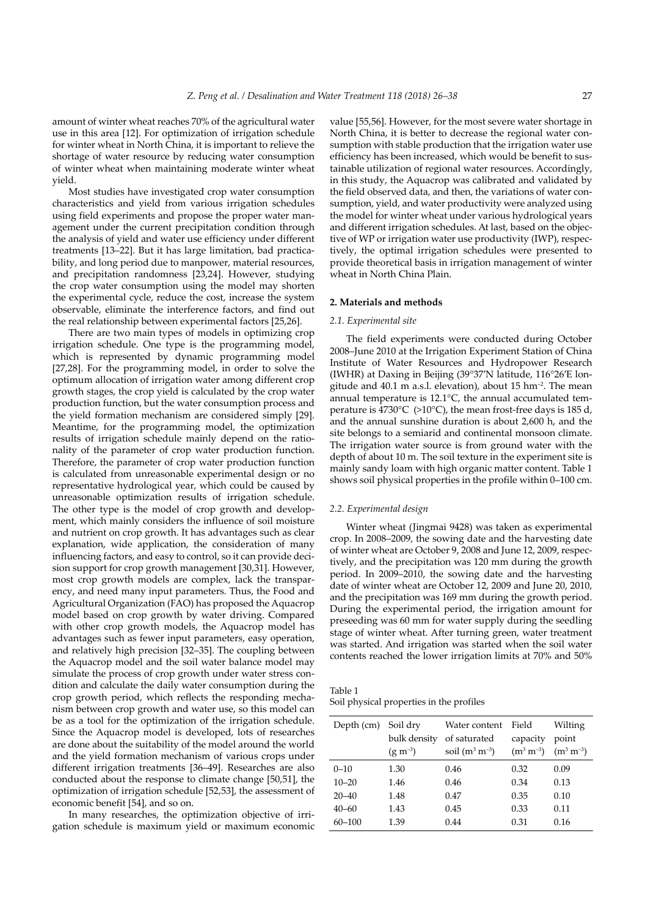amount of winter wheat reaches 70% of the agricultural water use in this area [12]. For optimization of irrigation schedule for winter wheat in North China, it is important to relieve the shortage of water resource by reducing water consumption of winter wheat when maintaining moderate winter wheat yield.

Most studies have investigated crop water consumption characteristics and yield from various irrigation schedules using field experiments and propose the proper water management under the current precipitation condition through the analysis of yield and water use efficiency under different treatments [13–22]. But it has large limitation, bad practicability, and long period due to manpower, material resources, and precipitation randomness [23,24]. However, studying the crop water consumption using the model may shorten the experimental cycle, reduce the cost, increase the system observable, eliminate the interference factors, and find out the real relationship between experimental factors [25,26].

There are two main types of models in optimizing crop irrigation schedule. One type is the programming model, which is represented by dynamic programming model [27,28]. For the programming model, in order to solve the optimum allocation of irrigation water among different crop growth stages, the crop yield is calculated by the crop water production function, but the water consumption process and the yield formation mechanism are considered simply [29]. Meantime, for the programming model, the optimization results of irrigation schedule mainly depend on the rationality of the parameter of crop water production function. Therefore, the parameter of crop water production function is calculated from unreasonable experimental design or no representative hydrological year, which could be caused by unreasonable optimization results of irrigation schedule. The other type is the model of crop growth and development, which mainly considers the influence of soil moisture and nutrient on crop growth. It has advantages such as clear explanation, wide application, the consideration of many influencing factors, and easy to control, so it can provide decision support for crop growth management [30,31]. However, most crop growth models are complex, lack the transparency, and need many input parameters. Thus, the Food and Agricultural Organization (FAO) has proposed the Aquacrop model based on crop growth by water driving. Compared with other crop growth models, the Aquacrop model has advantages such as fewer input parameters, easy operation, and relatively high precision [32–35]. The coupling between the Aquacrop model and the soil water balance model may simulate the process of crop growth under water stress condition and calculate the daily water consumption during the crop growth period, which reflects the responding mechanism between crop growth and water use, so this model can be as a tool for the optimization of the irrigation schedule. Since the Aquacrop model is developed, lots of researches are done about the suitability of the model around the world and the yield formation mechanism of various crops under different irrigation treatments [36–49]. Researches are also conducted about the response to climate change [50,51], the optimization of irrigation schedule [52,53], the assessment of economic benefit [54], and so on.

In many researches, the optimization objective of irrigation schedule is maximum yield or maximum economic

value [55,56]. However, for the most severe water shortage in North China, it is better to decrease the regional water consumption with stable production that the irrigation water use efficiency has been increased, which would be benefit to sustainable utilization of regional water resources. Accordingly, in this study, the Aquacrop was calibrated and validated by the field observed data, and then, the variations of water consumption, yield, and water productivity were analyzed using the model for winter wheat under various hydrological years and different irrigation schedules. At last, based on the objective of WP or irrigation water use productivity (IWP), respectively, the optimal irrigation schedules were presented to provide theoretical basis in irrigation management of winter wheat in North China Plain.

## **2. Materials and methods**

## *2.1. Experimental site*

The field experiments were conducted during October 2008–June 2010 at the Irrigation Experiment Station of China Institute of Water Resources and Hydropower Research (IWHR) at Daxing in Beijing (39°37′N latitude, 116°26′E longitude and  $40.1$  m a.s.l. elevation), about  $15$  hm<sup>-2</sup>. The mean annual temperature is 12.1°C, the annual accumulated temperature is 4730°C (>10°C), the mean frost-free days is 185 d, and the annual sunshine duration is about 2,600 h, and the site belongs to a semiarid and continental monsoon climate. The irrigation water source is from ground water with the depth of about 10 m. The soil texture in the experiment site is mainly sandy loam with high organic matter content. Table 1 shows soil physical properties in the profile within 0–100 cm.

#### *2.2. Experimental design*

Winter wheat (Jingmai 9428) was taken as experimental crop. In 2008–2009, the sowing date and the harvesting date of winter wheat are October 9, 2008 and June 12, 2009, respectively, and the precipitation was 120 mm during the growth period. In 2009–2010, the sowing date and the harvesting date of winter wheat are October 12, 2009 and June 20, 2010, and the precipitation was 169 mm during the growth period. During the experimental period, the irrigation amount for preseeding was 60 mm for water supply during the seedling stage of winter wheat. After turning green, water treatment was started. And irrigation was started when the soil water contents reached the lower irrigation limits at 70% and 50%

Table 1 Soil physical properties in the profiles

| Depth (cm) | Soil dry<br>bulk density<br>$(g m^{-3})$ | Water content<br>of saturated<br>soil $(m^3 m^{-3})$ | Field<br>capacity<br>$(m^3 m^{-3})$ | Wilting<br>point<br>$(m^3 m^{-3})$ |
|------------|------------------------------------------|------------------------------------------------------|-------------------------------------|------------------------------------|
|            |                                          |                                                      |                                     |                                    |
| $0 - 10$   | 1.30                                     | 0.46                                                 | 0.32                                | 0.09                               |
| $10 - 20$  | 1.46                                     | 0.46                                                 | 0.34                                | 0.13                               |
| $20 - 40$  | 1.48                                     | 0.47                                                 | 0.35                                | 0.10                               |
| $40 - 60$  | 1.43                                     | 0.45                                                 | 0.33                                | 0.11                               |
| $60 - 100$ | 1.39                                     | 0.44                                                 | 0.31                                | 0.16                               |
|            |                                          |                                                      |                                     |                                    |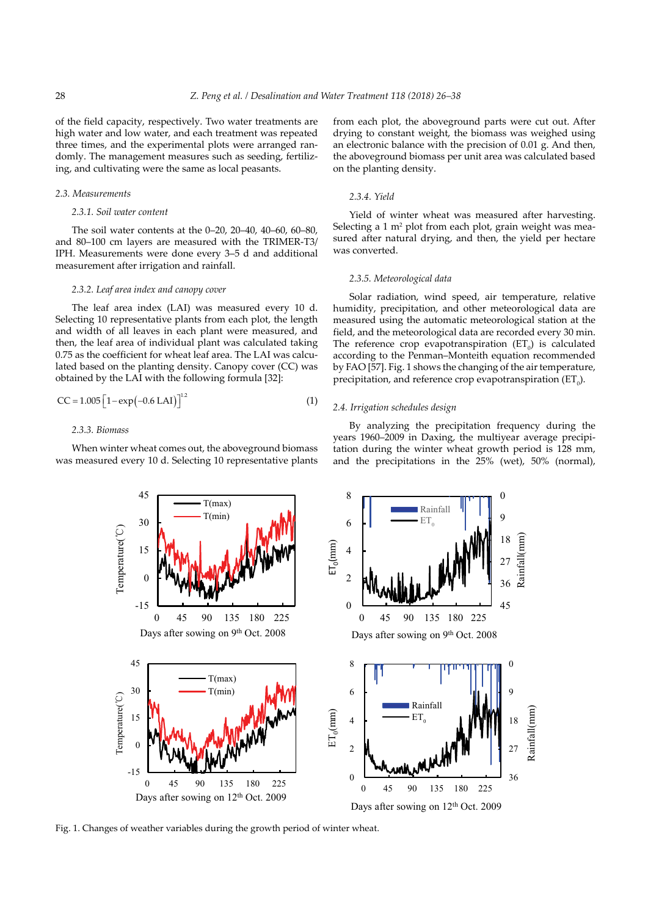of the field capacity, respectively. Two water treatments are high water and low water, and each treatment was repeated three times, and the experimental plots were arranged randomly. The management measures such as seeding, fertilizing, and cultivating were the same as local peasants.

#### *2.3. Measurements*

## *2.3.1. Soil water content*

The soil water contents at the 0–20, 20–40, 40–60, 60–80, and 80–100 cm layers are measured with the TRIMER-T3/ IPH. Measurements were done every 3–5 d and additional measurement after irrigation and rainfall.

#### *2.3.2. Leaf area index and canopy cover*

The leaf area index (LAI) was measured every 10 d. Selecting 10 representative plants from each plot, the length and width of all leaves in each plant were measured, and then, the leaf area of individual plant was calculated taking 0.75 as the coefficient for wheat leaf area. The LAI was calculated based on the planting density. Canopy cover (CC) was obtained by the LAI with the following formula [32]:

$$
CC = 1.005 \left[ 1 - \exp(-0.6 \text{ LAI}) \right]^{1.2} \tag{1}
$$

## *2.3.3. Biomass*

When winter wheat comes out, the aboveground biomass was measured every 10 d. Selecting 10 representative plants from each plot, the aboveground parts were cut out. After drying to constant weight, the biomass was weighed using an electronic balance with the precision of 0.01 g. And then, the aboveground biomass per unit area was calculated based on the planting density.

## *2.3.4. Yield*

Yield of winter wheat was measured after harvesting. Selecting a 1 m<sup>2</sup> plot from each plot, grain weight was measured after natural drying, and then, the yield per hectare was converted.

## *2.3.5. Meteorological data*

Solar radiation, wind speed, air temperature, relative humidity, precipitation, and other meteorological data are measured using the automatic meteorological station at the field, and the meteorological data are recorded every 30 min. The reference crop evapotranspiration  $(ET_0)$  is calculated according to the Penman–Monteith equation recommended by FAO [57]. Fig. 1 shows the changing of the air temperature, precipitation, and reference crop evapotranspiration  $(ET_0)$ .

# *2.4. Irrigation schedules design*

By analyzing the precipitation frequency during the years 1960–2009 in Daxing, the multiyear average precipitation during the winter wheat growth period is 128 mm, and the precipitations in the 25% (wet), 50% (normal),



Fig. 1. Changes of weather variables during the growth period of winter wheat.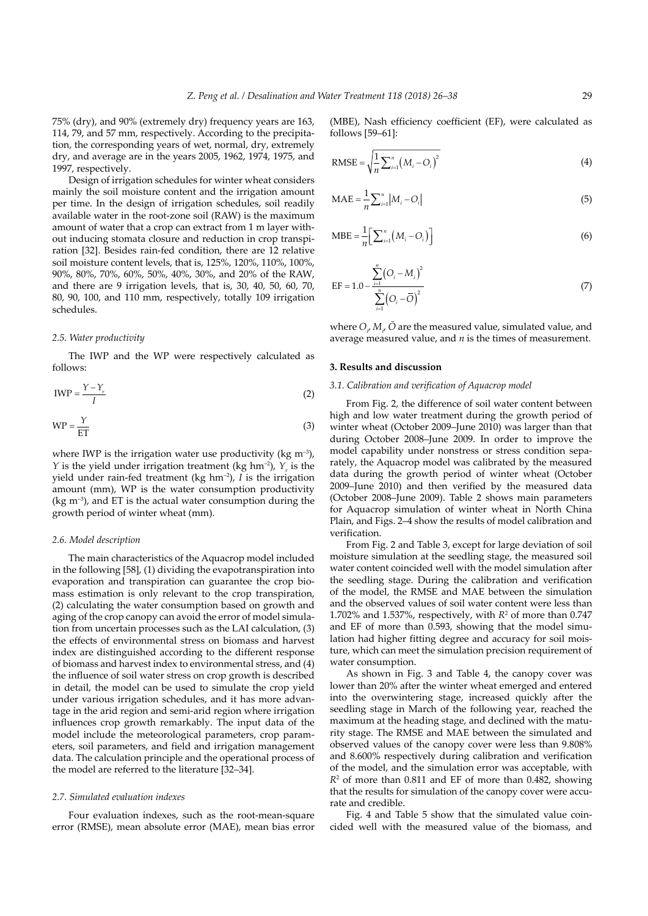75% (dry), and 90% (extremely dry) frequency years are 163, 114, 79, and 57 mm, respectively. According to the precipitation, the corresponding years of wet, normal, dry, extremely dry, and average are in the years 2005, 1962, 1974, 1975, and 1997, respectively.

Design of irrigation schedules for winter wheat considers mainly the soil moisture content and the irrigation amount per time. In the design of irrigation schedules, soil readily available water in the root-zone soil (RAW) is the maximum amount of water that a crop can extract from 1 m layer without inducing stomata closure and reduction in crop transpiration [32]. Besides rain-fed condition, there are 12 relative soil moisture content levels, that is, 125%, 120%, 110%, 100%, 90%, 80%, 70%, 60%, 50%, 40%, 30%, and 20% of the RAW, and there are 9 irrigation levels, that is, 30, 40, 50, 60, 70, 80, 90, 100, and 110 mm, respectively, totally 109 irrigation schedules.

### *2.5. Water productivity*

The IWP and the WP were respectively calculated as follows:

$$
IWP = \frac{Y - Y_r}{I}
$$
 (2)

$$
WP = \frac{Y}{ET}
$$
 (3)

where IWP is the irrigation water use productivity ( $kg \text{ m}^{-3}$ ), *Y* is the yield under irrigation treatment (kg hm<sup>-2</sup>),  $Y_r$  is the yield under rain-fed treatment (kg hm–2), *I* is the irrigation amount (mm), WP is the water consumption productivity (kg  $m^{-3}$ ), and ET is the actual water consumption during the growth period of winter wheat (mm).

## *2.6. Model description*

The main characteristics of the Aquacrop model included in the following [58], (1) dividing the evapotranspiration into evaporation and transpiration can guarantee the crop biomass estimation is only relevant to the crop transpiration, (2) calculating the water consumption based on growth and aging of the crop canopy can avoid the error of model simulation from uncertain processes such as the LAI calculation, (3) the effects of environmental stress on biomass and harvest index are distinguished according to the different response of biomass and harvest index to environmental stress, and (4) the influence of soil water stress on crop growth is described in detail, the model can be used to simulate the crop yield under various irrigation schedules, and it has more advantage in the arid region and semi-arid region where irrigation influences crop growth remarkably. The input data of the model include the meteorological parameters, crop parameters, soil parameters, and field and irrigation management data. The calculation principle and the operational process of the model are referred to the literature [32–34].

#### *2.7. Simulated evaluation indexes*

Four evaluation indexes, such as the root-mean-square error (RMSE), mean absolute error (MAE), mean bias error

(MBE), Nash efficiency coefficient (EF), were calculated as follows [59–61]:

RMSE = 
$$
\sqrt{\frac{1}{n} \sum_{i=1}^{n} (M_i - O_i)^2}
$$
 (4)

$$
MAE = \frac{1}{n} \sum_{i=1}^{n} |M_i - O_i|
$$
 (5)

$$
\text{MBE} = \frac{1}{n} \Big[ \sum_{i=1}^{n} \big( M_i - O_i \big) \Big] \tag{6}
$$

EF = 1.0 - 
$$
\frac{\sum_{i=1}^{n} (O_i - M_i)^2}{\sum_{i=1}^{n} (O_i - \overline{O})^2}
$$
 (7)

where  $O_{i}$ ,  $M_{i}$ ,  $O$  are the measured value, simulated value, and average measured value, and *n* is the times of measurement.

## **3. Results and discussion**

## *3.1. Calibration and verification of Aquacrop model*

From Fig. 2, the difference of soil water content between high and low water treatment during the growth period of winter wheat (October 2009–June 2010) was larger than that during October 2008–June 2009. In order to improve the model capability under nonstress or stress condition separately, the Aquacrop model was calibrated by the measured data during the growth period of winter wheat (October 2009–June 2010) and then verified by the measured data (October 2008–June 2009). Table 2 shows main parameters for Aquacrop simulation of winter wheat in North China Plain, and Figs. 2–4 show the results of model calibration and verification.

From Fig. 2 and Table 3, except for large deviation of soil moisture simulation at the seedling stage, the measured soil water content coincided well with the model simulation after the seedling stage. During the calibration and verification of the model, the RMSE and MAE between the simulation and the observed values of soil water content were less than 1.702% and 1.537%, respectively, with  $R<sup>2</sup>$  of more than 0.747 and EF of more than 0.593, showing that the model simulation had higher fitting degree and accuracy for soil moisture, which can meet the simulation precision requirement of water consumption.

As shown in Fig. 3 and Table 4, the canopy cover was lower than 20% after the winter wheat emerged and entered into the overwintering stage, increased quickly after the seedling stage in March of the following year, reached the maximum at the heading stage, and declined with the maturity stage. The RMSE and MAE between the simulated and observed values of the canopy cover were less than 9.808% and 8.600% respectively during calibration and verification of the model, and the simulation error was acceptable, with *R*2 of more than 0.811 and EF of more than 0.482, showing that the results for simulation of the canopy cover were accurate and credible.

Fig. 4 and Table 5 show that the simulated value coincided well with the measured value of the biomass, and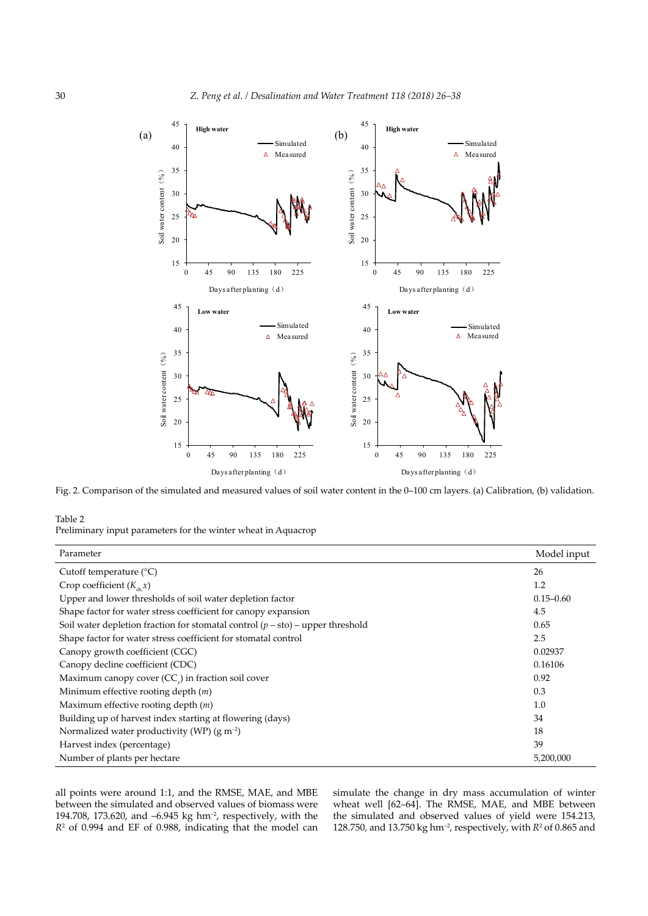

Fig. 2. Comparison of the simulated and measured values of soil water content in the 0–100 cm layers. (a) Calibration, (b) validation.

Table 2

Preliminary input parameters for the winter wheat in Aquacrop

| Parameter                                                                        | Model input   |
|----------------------------------------------------------------------------------|---------------|
| Cutoff temperature $(^{\circ}C)$                                                 | 26            |
| Crop coefficient $(K_{\text{ch}} x)$                                             | 1.2           |
| Upper and lower thresholds of soil water depletion factor                        | $0.15 - 0.60$ |
| Shape factor for water stress coefficient for canopy expansion                   | 4.5           |
| Soil water depletion fraction for stomatal control $(p - sto)$ – upper threshold | 0.65          |
| Shape factor for water stress coefficient for stomatal control                   | 2.5           |
| Canopy growth coefficient (CGC)                                                  | 0.02937       |
| Canopy decline coefficient (CDC)                                                 | 0.16106       |
| Maximum canopy cover (CC <sub>y</sub> ) in fraction soil cover                   | 0.92          |
| Minimum effective rooting depth $(m)$                                            | 0.3           |
| Maximum effective rooting depth $(m)$                                            | 1.0           |
| Building up of harvest index starting at flowering (days)                        | 34            |
| Normalized water productivity (WP) $(g m^{-2})$                                  | 18            |
| Harvest index (percentage)                                                       | 39            |
| Number of plants per hectare                                                     | 5,200,000     |

all points were around 1:1, and the RMSE, MAE, and MBE between the simulated and observed values of biomass were 194.708, 173.620, and –6.945 kg hm–2, respectively, with the *R*2 of 0.994 and EF of 0.988, indicating that the model can simulate the change in dry mass accumulation of winter wheat well [62–64]. The RMSE, MAE, and MBE between the simulated and observed values of yield were 154.213, 128.750, and 13.750 kg hm<sup>-2</sup>, respectively, with  $R^2$  of 0.865 and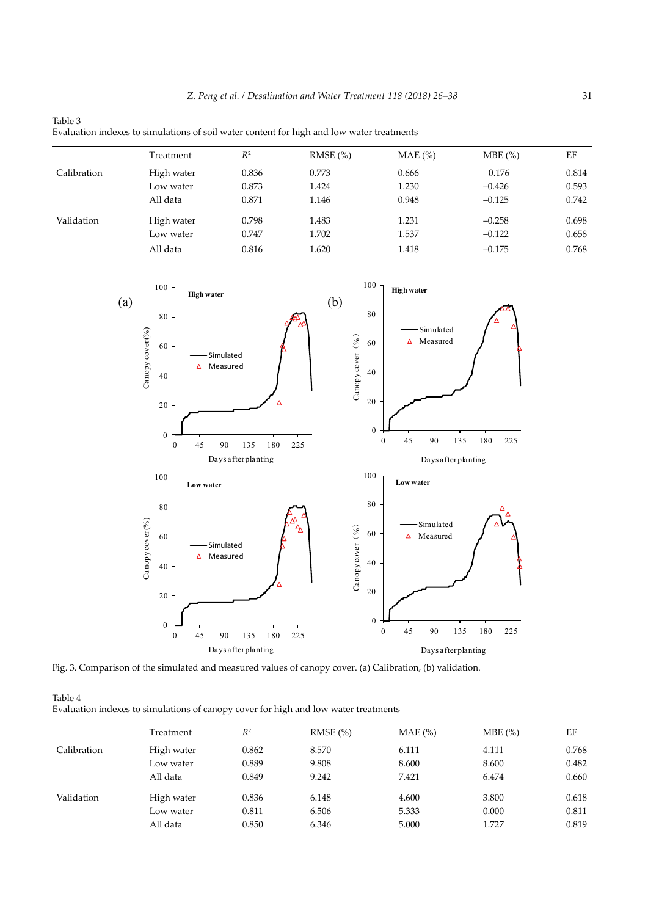| Evaluation indexes to simulations of soil water content for high and low water treatments |            |       |         |           |          |       |  |
|-------------------------------------------------------------------------------------------|------------|-------|---------|-----------|----------|-------|--|
|                                                                                           | Treatment  | $R^2$ | RMSE(%) | $MAE$ (%) | MBE(%)   | EF    |  |
| Calibration                                                                               | High water | 0.836 | 0.773   | 0.666     | 0.176    | 0.814 |  |
|                                                                                           | Low water  | 0.873 | 1.424   | 1.230     | $-0.426$ | 0.593 |  |
|                                                                                           | All data   | 0.871 | 1.146   | 0.948     | $-0.125$ | 0.742 |  |
| Validation                                                                                | High water | 0.798 | 1.483   | 1.231     | $-0.258$ | 0.698 |  |
|                                                                                           | Low water  | 0.747 | 1.702   | 1.537     | $-0.122$ | 0.658 |  |
|                                                                                           | All data   | 0.816 | 1.620   | 1.418     | $-0.175$ | 0.768 |  |



Table 3



Fig. 3. Comparison of the simulated and measured values of canopy cover. (a) Calibration, (b) validation.

| Table 4                                                                             |  |
|-------------------------------------------------------------------------------------|--|
| Evaluation indexes to simulations of canopy cover for high and low water treatments |  |

|             | Treatment  | $R^2$ | RMSE(%) | $MAE$ $(\%)$ | MBE(%) | EF    |
|-------------|------------|-------|---------|--------------|--------|-------|
| Calibration | High water | 0.862 | 8.570   | 6.111        | 4.111  | 0.768 |
|             | Low water  | 0.889 | 9.808   | 8.600        | 8.600  | 0.482 |
|             | All data   | 0.849 | 9.242   | 7.421        | 6.474  | 0.660 |
| Validation  | High water | 0.836 | 6.148   | 4.600        | 3.800  | 0.618 |
|             | Low water  | 0.811 | 6.506   | 5.333        | 0.000  | 0.811 |
|             | All data   | 0.850 | 6.346   | 5.000        | 1.727  | 0.819 |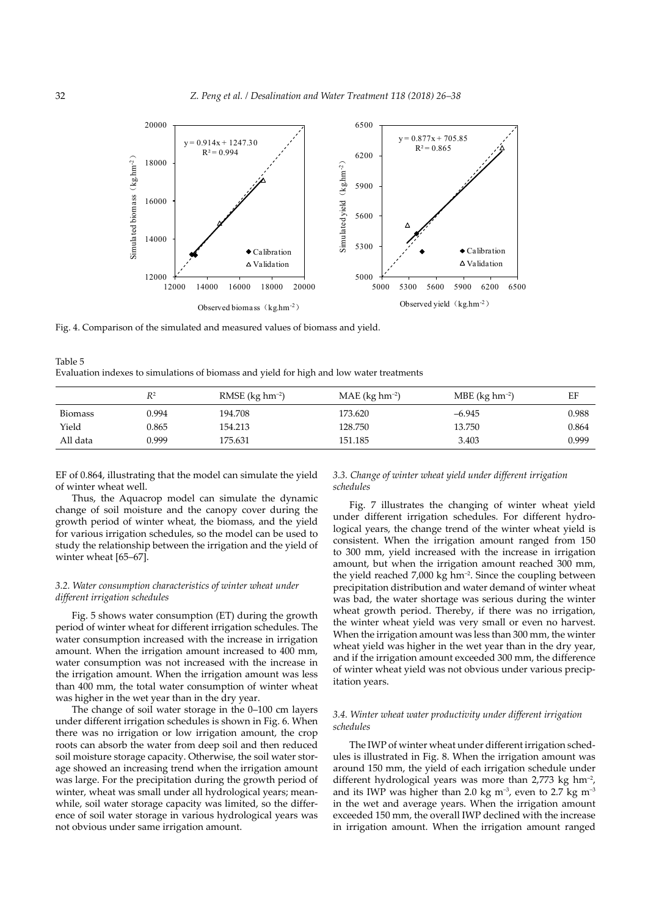

Fig. 4. Comparison of the simulated and measured values of biomass and yield.

Table 5 Evaluation indexes to simulations of biomass and yield for high and low water treatments

|                | $R^2$ | RMSE $(kg hm^{-2})$ | $MAE$ (kg hm <sup>-2</sup> ) | MBE ( $kg \, \text{hm}^{-2}$ ) | EF    |
|----------------|-------|---------------------|------------------------------|--------------------------------|-------|
| <b>Biomass</b> | 0.994 | 194.708             | 173.620                      | $-6.945$                       | 0.988 |
| Yield          | 0.865 | 154.213             | 128.750                      | 13.750                         | 0.864 |
| All data       | 0.999 | 175.631             | 151.185                      | 3.403                          | 0.999 |

EF of 0.864, illustrating that the model can simulate the yield of winter wheat well.

Thus, the Aquacrop model can simulate the dynamic change of soil moisture and the canopy cover during the growth period of winter wheat, the biomass, and the yield for various irrigation schedules, so the model can be used to study the relationship between the irrigation and the yield of winter wheat [65–67].

## *3.2. Water consumption characteristics of winter wheat under different irrigation schedules*

Fig. 5 shows water consumption (ET) during the growth period of winter wheat for different irrigation schedules. The water consumption increased with the increase in irrigation amount. When the irrigation amount increased to 400 mm, water consumption was not increased with the increase in the irrigation amount. When the irrigation amount was less than 400 mm, the total water consumption of winter wheat was higher in the wet year than in the dry year.

The change of soil water storage in the 0–100 cm layers under different irrigation schedules is shown in Fig. 6. When there was no irrigation or low irrigation amount, the crop roots can absorb the water from deep soil and then reduced soil moisture storage capacity. Otherwise, the soil water storage showed an increasing trend when the irrigation amount was large. For the precipitation during the growth period of winter, wheat was small under all hydrological years; meanwhile, soil water storage capacity was limited, so the difference of soil water storage in various hydrological years was not obvious under same irrigation amount.

## *3.3. Change of winter wheat yield under different irrigation schedules*

Fig. 7 illustrates the changing of winter wheat yield under different irrigation schedules. For different hydrological years, the change trend of the winter wheat yield is consistent. When the irrigation amount ranged from 150 to 300 mm, yield increased with the increase in irrigation amount, but when the irrigation amount reached 300 mm, the yield reached 7,000 kg hm<sup>-2</sup>. Since the coupling between precipitation distribution and water demand of winter wheat was bad, the water shortage was serious during the winter wheat growth period. Thereby, if there was no irrigation, the winter wheat yield was very small or even no harvest. When the irrigation amount was less than 300 mm, the winter wheat yield was higher in the wet year than in the dry year, and if the irrigation amount exceeded 300 mm, the difference of winter wheat yield was not obvious under various precipitation years.

## *3.4. Winter wheat water productivity under different irrigation schedules*

The IWP of winter wheat under different irrigation schedules is illustrated in Fig. 8. When the irrigation amount was around 150 mm, the yield of each irrigation schedule under different hydrological years was more than 2,773 kg hm<sup>-2</sup>, and its IWP was higher than 2.0 kg m<sup>-3</sup>, even to 2.7 kg m<sup>-3</sup> in the wet and average years. When the irrigation amount exceeded 150 mm, the overall IWP declined with the increase in irrigation amount. When the irrigation amount ranged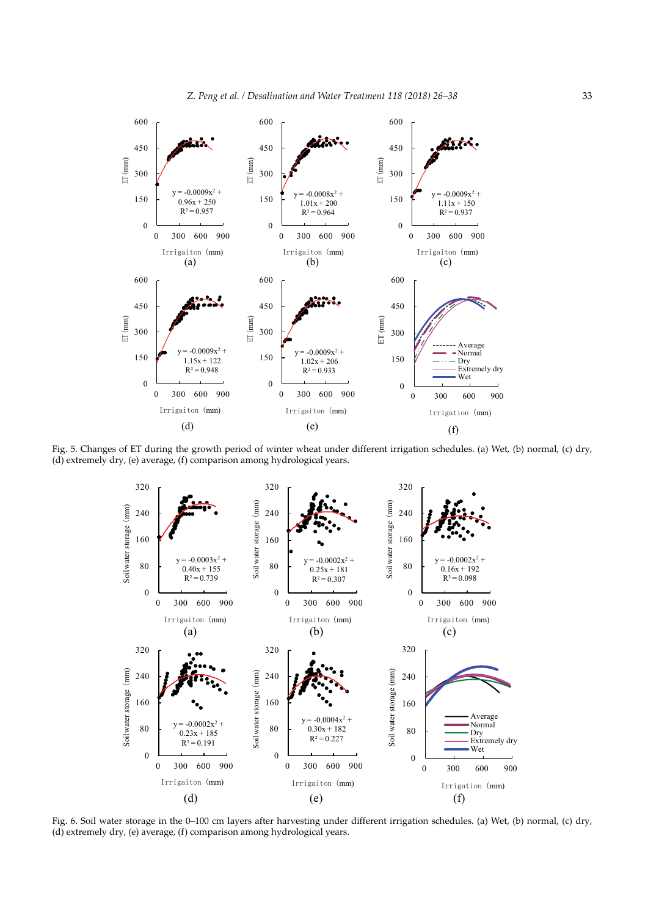

Fig. 5. Changes of ET during the growth period of winter wheat under different irrigation schedules. (a) Wet, (b) normal, (c) dry, (d) extremely dry, (e) average, (f) comparison among hydrological years.



Fig. 6. Soil water storage in the 0–100 cm layers after harvesting under different irrigation schedules. (a) Wet, (b) normal, (c) dry, (d) extremely dry, (e) average, (f) comparison among hydrological years.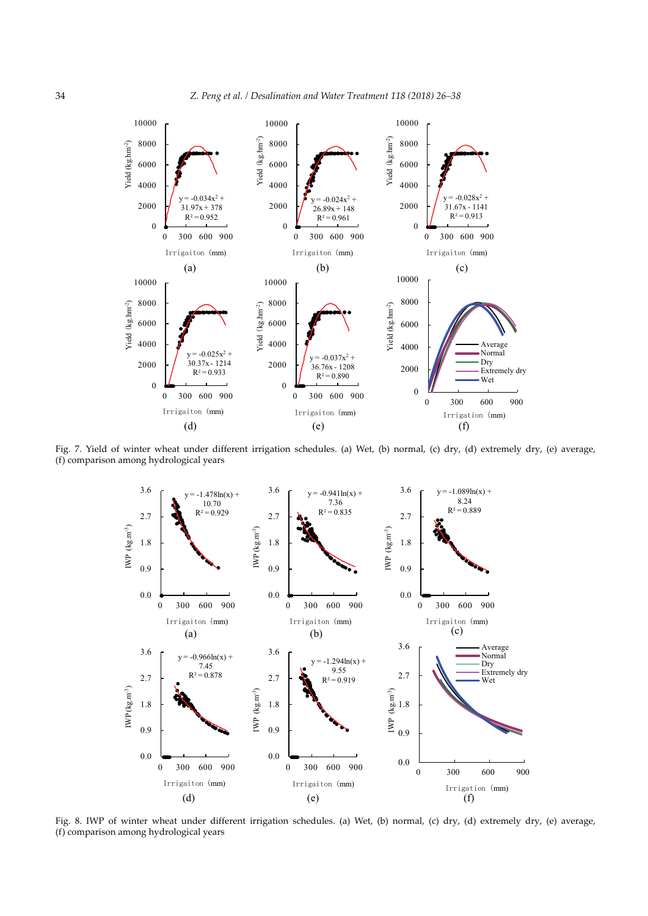

Fig. 7. Yield of winter wheat under different irrigation schedules. (a) Wet, (b) normal, (c) dry, (d) extremely dry, (e) average, (f) comparison among hydrological years



Fig. 8. IWP of winter wheat under different irrigation schedules. (a) Wet, (b) normal, (c) dry, (d) extremely dry, (e) average, (f) comparison among hydrological years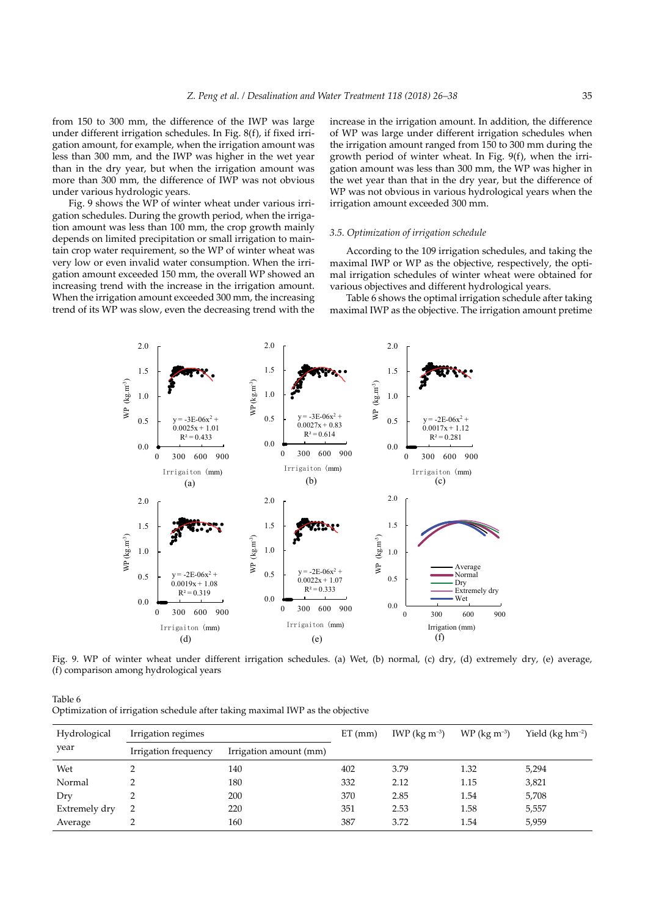from 150 to 300 mm, the difference of the IWP was large under different irrigation schedules. In Fig. 8(f), if fixed irrigation amount, for example, when the irrigation amount was less than 300 mm, and the IWP was higher in the wet year than in the dry year, but when the irrigation amount was more than 300 mm, the difference of IWP was not obvious under various hydrologic years.

Fig. 9 shows the WP of winter wheat under various irrigation schedules. During the growth period, when the irrigation amount was less than 100 mm, the crop growth mainly depends on limited precipitation or small irrigation to maintain crop water requirement, so the WP of winter wheat was very low or even invalid water consumption. When the irrigation amount exceeded 150 mm, the overall WP showed an increasing trend with the increase in the irrigation amount. When the irrigation amount exceeded 300 mm, the increasing trend of its WP was slow, even the decreasing trend with the increase in the irrigation amount. In addition, the difference of WP was large under different irrigation schedules when the irrigation amount ranged from 150 to 300 mm during the growth period of winter wheat. In Fig. 9(f), when the irrigation amount was less than 300 mm, the WP was higher in the wet year than that in the dry year, but the difference of WP was not obvious in various hydrological years when the irrigation amount exceeded 300 mm.

#### *3.5. Optimization of irrigation schedule*

According to the 109 irrigation schedules, and taking the maximal IWP or WP as the objective, respectively, the optimal irrigation schedules of winter wheat were obtained for various objectives and different hydrological years.

Table 6 shows the optimal irrigation schedule after taking maximal IWP as the objective. The irrigation amount pretime



Fig. 9. WP of winter wheat under different irrigation schedules. (a) Wet, (b) normal, (c) dry, (d) extremely dry, (e) average, (f) comparison among hydrological years

| Table 6                                                                       |  |
|-------------------------------------------------------------------------------|--|
| Optimization of irrigation schedule after taking maximal IWP as the objective |  |

| Hydrological  | Irrigation regimes   |                        | $ET$ (mm) | IWP ( $\text{kg m}^{-3}$ ) | $WP$ (kg m <sup>-3</sup> ) | Yield ( $kg \, \text{hm}^{-2}$ ) |
|---------------|----------------------|------------------------|-----------|----------------------------|----------------------------|----------------------------------|
| year          | Irrigation frequency | Irrigation amount (mm) |           |                            |                            |                                  |
| Wet           |                      | 140                    | 402       | 3.79                       | 1.32                       | 5,294                            |
| Normal        |                      | 180                    | 332       | 2.12                       | 1.15                       | 3,821                            |
| Dry           |                      | 200                    | 370       | 2.85                       | 1.54                       | 5,708                            |
| Extremely dry |                      | 220                    | 351       | 2.53                       | 1.58                       | 5,557                            |
| Average       |                      | 160                    | 387       | 3.72                       | 1.54                       | 5,959                            |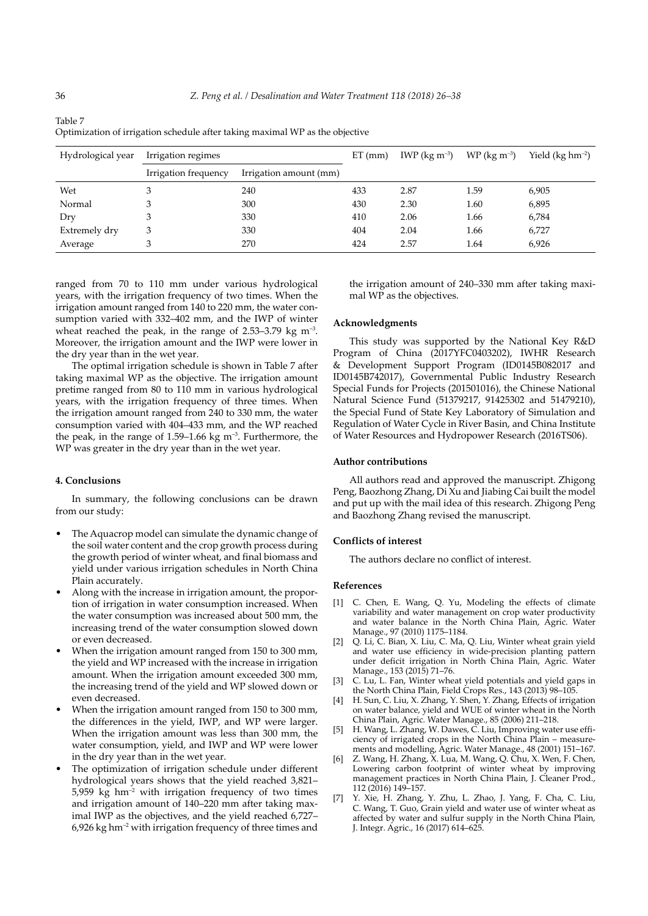| Hydrological year | Irrigation regimes   |                        | $ET$ (mm) | IWP (kg $m^{-3}$ ) | $WP$ (kg m <sup>-3</sup> ) | Yield $(kg hm-2)$ |
|-------------------|----------------------|------------------------|-----------|--------------------|----------------------------|-------------------|
|                   | Irrigation frequency | Irrigation amount (mm) |           |                    |                            |                   |
| Wet               |                      | 240                    | 433       | 2.87               | 1.59                       | 6,905             |
| Normal            |                      | 300                    | 430       | 2.30               | 1.60                       | 6,895             |
| Dry               |                      | 330                    | 410       | 2.06               | 1.66                       | 6,784             |
| Extremely dry     | 3                    | 330                    | 404       | 2.04               | 1.66                       | 6,727             |
| Average           | 3                    | 270                    | 424       | 2.57               | 1.64                       | 6,926             |

Table 7 Optimization of irrigation schedule after taking maximal WP as the objective

ranged from 70 to 110 mm under various hydrological years, with the irrigation frequency of two times. When the irrigation amount ranged from 140 to 220 mm, the water consumption varied with 332–402 mm, and the IWP of winter wheat reached the peak, in the range of  $2.53-3.79$  kg m<sup>-3</sup>. Moreover, the irrigation amount and the IWP were lower in the dry year than in the wet year.

The optimal irrigation schedule is shown in Table 7 after taking maximal WP as the objective. The irrigation amount pretime ranged from 80 to 110 mm in various hydrological years, with the irrigation frequency of three times. When the irrigation amount ranged from 240 to 330 mm, the water consumption varied with 404–433 mm, and the WP reached the peak, in the range of 1.59–1.66 kg  $m^{-3}$ . Furthermore, the WP was greater in the dry year than in the wet year.

## **4. Conclusions**

In summary, the following conclusions can be drawn from our study:

- The Aquacrop model can simulate the dynamic change of the soil water content and the crop growth process during the growth period of winter wheat, and final biomass and yield under various irrigation schedules in North China Plain accurately.
- Along with the increase in irrigation amount, the proportion of irrigation in water consumption increased. When the water consumption was increased about 500 mm, the increasing trend of the water consumption slowed down or even decreased.
- When the irrigation amount ranged from 150 to 300 mm, the yield and WP increased with the increase in irrigation amount. When the irrigation amount exceeded 300 mm, the increasing trend of the yield and WP slowed down or even decreased.
- When the irrigation amount ranged from 150 to 300 mm, the differences in the yield, IWP, and WP were larger. When the irrigation amount was less than 300 mm, the water consumption, yield, and IWP and WP were lower in the dry year than in the wet year.
- The optimization of irrigation schedule under different hydrological years shows that the yield reached 3,821–  $5,959$  kg hm<sup>-2</sup> with irrigation frequency of two times and irrigation amount of 140–220 mm after taking maximal IWP as the objectives, and the yield reached 6,727–  $6,926$  kg hm<sup>-2</sup> with irrigation frequency of three times and

the irrigation amount of 240–330 mm after taking maximal WP as the objectives.

#### **Acknowledgments**

This study was supported by the National Key R&D Program of China (2017YFC0403202), IWHR Research & Development Support Program (ID0145B082017 and ID0145B742017), Governmental Public Industry Research Special Funds for Projects (201501016), the Chinese National Natural Science Fund (51379217, 91425302 and 51479210), the Special Fund of State Key Laboratory of Simulation and Regulation of Water Cycle in River Basin, and China Institute of Water Resources and Hydropower Research (2016TS06).

## **Author contributions**

All authors read and approved the manuscript. Zhigong Peng, Baozhong Zhang, Di Xu and Jiabing Cai built the model and put up with the mail idea of this research. Zhigong Peng and Baozhong Zhang revised the manuscript.

## **Conflicts of interest**

The authors declare no conflict of interest.

#### **References**

- [1] C. Chen, E. Wang, Q. Yu, Modeling the effects of climate variability and water management on crop water productivity and water balance in the North China Plain, Agric. Water Manage., 97 (2010) 1175–1184.
- [2] Q. Li, C. Bian, X. Liu, C. Ma, Q. Liu, Winter wheat grain yield and water use efficiency in wide-precision planting pattern under deficit irrigation in North China Plain, Agric. Water Manage., 153 (2015) 71–76.
- [3] C. Lu, L. Fan, Winter wheat yield potentials and yield gaps in the North China Plain, Field Crops Res., 143 (2013) 98–105.
- [4] H. Sun, C. Liu, X. Zhang, Y. Shen, Y. Zhang, Effects of irrigation on water balance, yield and WUE of winter wheat in the North China Plain, Agric. Water Manage., 85 (2006) 211–218.
- [5] H. Wang, L. Zhang, W. Dawes, C. Liu, Improving water use efficiency of irrigated crops in the North China Plain – measurements and modelling, Agric. Water Manage., 48 (2001) 151–167.
- Z. Wang, H. Zhang, X. Lua, M. Wang, Q. Chu, X. Wen, F. Chen, Lowering carbon footprint of winter wheat by improving management practices in North China Plain, J. Cleaner Prod., 112 (2016) 149–157.
- [7] Y. Xie, H. Zhang, Y. Zhu, L. Zhao, J. Yang, F. Cha, C. Liu, C. Wang, T. Guo, Grain yield and water use of winter wheat as affected by water and sulfur supply in the North China Plain, J. Integr. Agric., 16 (2017) 614–625.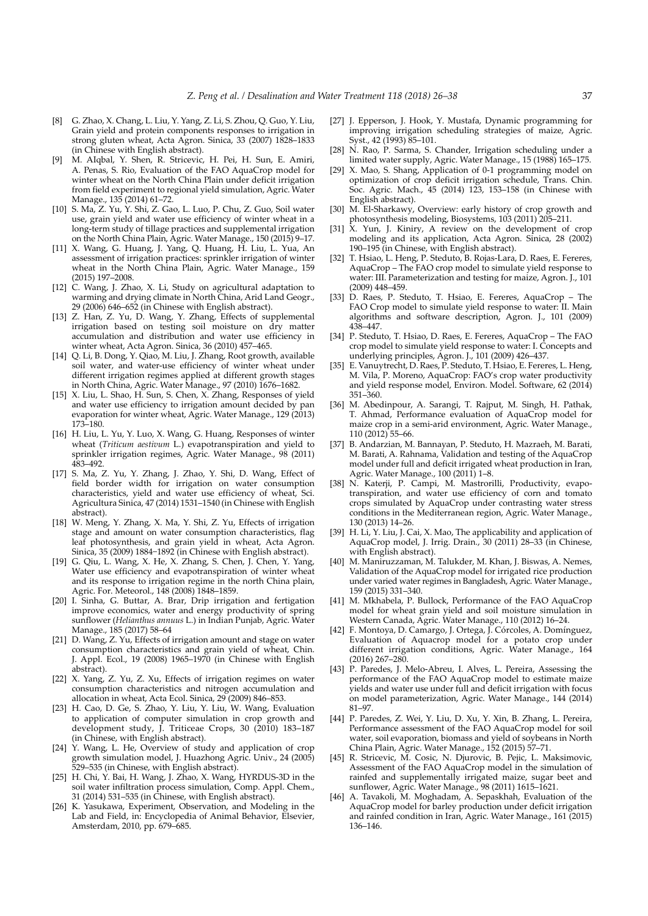- [8] G. Zhao, X. Chang, L. Liu, Y. Yang, Z. Li, S. Zhou, Q. Guo, Y. Liu, Grain yield and protein components responses to irrigation in strong gluten wheat, Acta Agron. Sinica, 33 (2007) 1828–1833 (in Chinese with English abstract).
- [9] M. AIqbal, Y. Shen, R. Stricevic, H. Pei, H. Sun, E. Amiri, A. Penas, S. Rio, Evaluation of the FAO AquaCrop model for winter wheat on the North China Plain under deficit irrigation from field experiment to regional yield simulation, Agric. Water Manage., 135 (2014) 61–72.
- [10] S. Ma, Z. Yu, Y. Shi, Z. Gao, L. Luo, P. Chu, Z. Guo, Soil water use, grain yield and water use efficiency of winter wheat in a long-term study of tillage practices and supplemental irrigation on the North China Plain, Agric. Water Manage., 150 (2015) 9–17.
- [11] X. Wang, G. Huang, J. Yang, Q. Huang, H. Liu, L. Yua, An assessment of irrigation practices: sprinkler irrigation of winter wheat in the North China Plain, Agric. Water Manage., 159 (2015) 197–2008.
- [12] C. Wang, J. Zhao, X. Li, Study on agricultural adaptation to warming and drying climate in North China, Arid Land Geogr., 29 (2006) 646–652 (in Chinese with English abstract).
- [13] Z. Han, Z. Yu, D. Wang, Y. Zhang, Effects of supplemental irrigation based on testing soil moisture on dry matter accumulation and distribution and water use efficiency in winter wheat, Acta Agron. Sinica, 36 (2010) 457–465.
- [14] Q. Li, B. Dong, Y. Qiao, M. Liu, J. Zhang, Root growth, available soil water, and water-use efficiency of winter wheat under different irrigation regimes applied at different growth stages in North China, Agric. Water Manage., 97 (2010) 1676–1682.
- [15] X. Liu, L. Shao, H. Sun, S. Chen, X. Zhang, Responses of yield and water use efficiency to irrigation amount decided by pan evaporation for winter wheat, Agric. Water Manage., 129 (2013) 173–180.
- [16] H. Liu, L. Yu, Y. Luo, X. Wang, G. Huang, Responses of winter wheat (*Triticum aestivum* L.) evapotranspiration and yield to sprinkler irrigation regimes, Agric. Water Manage., 98 (2011) 483–492.
- [17] S. Ma, Z. Yu, Y. Zhang, J. Zhao, Y. Shi, D. Wang, Effect of field border width for irrigation on water consumption characteristics, yield and water use efficiency of wheat, Sci. Agricultura Sinica, 47 (2014) 1531–1540 (in Chinese with English abstract).
- [18] W. Meng, Y. Zhang, X. Ma, Y. Shi, Z. Yu, Effects of irrigation stage and amount on water consumption characteristics, flag leaf photosynthesis, and grain yield in wheat, Acta Agron. Sinica, 35 (2009) 1884−1892 (in Chinese with English abstract).
- [19] G. Qiu, L. Wang, X. He, X. Zhang, S. Chen, J. Chen, Y. Yang, Water use efficiency and evapotranspiration of winter wheat and its response to irrigation regime in the north China plain, Agric. For. Meteorol., 148 (2008) 1848–1859.
- [20] I. Sinha, G. Buttar, A. Brar, Drip irrigation and fertigation improve economics, water and energy productivity of spring sunflower (*Helianthus annuus* L.) in Indian Punjab, Agric. Water Manage., 185 (2017) 58–64
- [21] D. Wang, Z. Yu, Effects of irrigation amount and stage on water consumption characteristics and grain yield of wheat, Chin. J. Appl. Ecol., 19 (2008) 1965–1970 (in Chinese with English abstract).
- [22] X. Yang, Z. Yu, Z. Xu, Effects of irrigation regimes on water consumption characteristics and nitrogen accumulation and allocation in wheat, Acta Ecol. Sinica, 29 (2009) 846–853.
- [23] H. Cao, D. Ge, S. Zhao, Y. Liu, Y. Liu, W. Wang, Evaluation to application of computer simulation in crop growth and development study, J. Triticeae Crops, 30 (2010) 183–187 (in Chinese, with English abstract).
- [24] Y. Wang, L. He, Overview of study and application of crop growth simulation model, J. Huazhong Agric. Univ., 24 (2005) 529–535 (in Chinese, with English abstract).
- [25] H. Chi, Y. Bai, H. Wang, J. Zhao, X. Wang, HYRDUS-3D in the soil water infiltration process simulation, Comp. Appl. Chem., 31 (2014) 531–535 (in Chinese, with English abstract).
- [26] K. Yasukawa, Experiment, Observation, and Modeling in the Lab and Field, in: Encyclopedia of Animal Behavior, Elsevier, Amsterdam, 2010, pp. 679–685.
- [27] J. Epperson, J. Hook, Y. Mustafa, Dynamic programming for improving irrigation scheduling strategies of maize, Agric. Syst., 42 (1993) 85–101.
- [28] N. Rao, P. Sarma, S. Chander, Irrigation scheduling under a limited water supply, Agric. Water Manage., 15 (1988) 165–175.
- [29] X. Mao, S. Shang, Application of 0-1 programming model on optimization of crop deficit irrigation schedule, Trans. Chin. Soc. Agric. Mach., 45 (2014) 123, 153–158 (in Chinese with English abstract).
- [30] M. El-Sharkawy, Overview: early history of crop growth and photosynthesis modeling, Biosystems, 103 (2011) 205–211.
- [31] X. Yun, J. Kiniry, A review on the development of crop modeling and its application, Acta Agron. Sinica, 28 (2002) 190–195 (in Chinese, with English abstract).
- [32] T. Hsiao, L. Heng, P. Steduto, B. Rojas-Lara, D. Raes, E. Fereres, AquaCrop – The FAO crop model to simulate yield response to water: III. Parameterization and testing for maize, Agron. J., 101 (2009) 448–459.
- [33] D. Raes, P. Steduto, T. Hsiao, E. Fereres, AquaCrop The FAO Crop model to simulate yield response to water: II. Main algorithms and software description, Agron. J., 101 (2009) 438–447.
- [34] P. Steduto, T. Hsiao, D. Raes, E. Fereres, AquaCrop The FAO crop model to simulate yield response to water: I. Concepts and underlying principles, Agron. J., 101 (2009) 426–437.
- [35] E. Vanuytrecht, D. Raes, P. Steduto, T. Hsiao, E. Fereres, L. Heng, M. Vila, P. Moreno, AquaCrop: FAO's crop water productivity and yield response model, Environ. Model. Software, 62 (2014) 351–360.
- [36] M. Abedinpour, A. Sarangi, T. Rajput, M. Singh, H. Pathak, T. Ahmad, Performance evaluation of AquaCrop model for maize crop in a semi-arid environment, Agric. Water Manage., 110 (2012) 55–66.
- [37] B. Andarzian, M. Bannayan, P. Steduto, H. Mazraeh, M. Barati, M. Barati, A. Rahnama, Validation and testing of the AquaCrop model under full and deficit irrigated wheat production in Iran, Agric. Water Manage., 100 (2011) 1–8.
- [38] N. Katerji, P. Campi, M. Mastrorilli, Productivity, evapotranspiration, and water use efficiency of corn and tomato crops simulated by AquaCrop under contrasting water stress conditions in the Mediterranean region, Agric. Water Manage., 130 (2013) 14–26.
- [39] H. Li, Y. Liu, J. Cai, X. Mao, The applicability and application of AquaCrop model, J. Irrig. Drain., 30 (2011) 28–33 (in Chinese, with English abstract).
- [40] M. Maniruzzaman, M. Talukder, M. Khan, J. Biswas, A. Nemes, Validation of the AquaCrop model for irrigated rice production under varied water regimes in Bangladesh, Agric. Water Manage., 159 (2015) 331–340.
- [41] M. Mkhabela, P. Bullock, Performance of the FAO AquaCrop model for wheat grain yield and soil moisture simulation in Western Canada, Agric. Water Manage., 110 (2012) 16–24.
- [42] F. Montoya, D. Camargo, J. Ortega, J. Córcoles, A. Domínguez, Evaluation of Aquacrop model for a potato crop under different irrigation conditions, Agric. Water Manage., 164 (2016) 267–280.
- [43] P. Paredes, J. Melo-Abreu, I. Alves, L. Pereira, Assessing the performance of the FAO AquaCrop model to estimate maize yields and water use under full and deficit irrigation with focus on model parameterization, Agric. Water Manage., 144 (2014) 81–97.
- [44] P. Paredes, Z. Wei, Y. Liu, D. Xu, Y. Xin, B. Zhang, L. Pereira, Performance assessment of the FAO AquaCrop model for soil water, soil evaporation, biomass and yield of soybeans in North China Plain, Agric. Water Manage., 152 (2015) 57–71.
- [45] R. Stricevic, M. Cosic, N. Djurovic, B. Pejic, L. Maksimovic, Assessment of the FAO AquaCrop model in the simulation of rainfed and supplementally irrigated maize, sugar beet and sunflower, Agric. Water Manage., 98 (2011) 1615–1621.
- [46] A. Tavakoli, M. Moghadam, A. Sepaskhah, Evaluation of the AquaCrop model for barley production under deficit irrigation and rainfed condition in Iran, Agric. Water Manage., 161 (2015) 136–146.